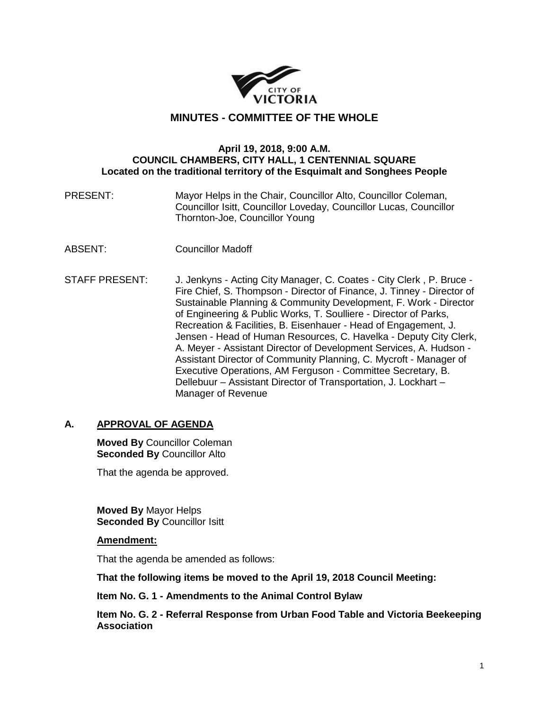

# **MINUTES - COMMITTEE OF THE WHOLE**

#### **April 19, 2018, 9:00 A.M. COUNCIL CHAMBERS, CITY HALL, 1 CENTENNIAL SQUARE Located on the traditional territory of the Esquimalt and Songhees People**

PRESENT: Mayor Helps in the Chair, Councillor Alto, Councillor Coleman, Councillor Isitt, Councillor Loveday, Councillor Lucas, Councillor Thornton-Joe, Councillor Young

- ABSENT: Councillor Madoff
- STAFF PRESENT: J. Jenkyns Acting City Manager, C. Coates City Clerk , P. Bruce Fire Chief, S. Thompson - Director of Finance, J. Tinney - Director of Sustainable Planning & Community Development, F. Work - Director of Engineering & Public Works, T. Soulliere - Director of Parks, Recreation & Facilities, B. Eisenhauer - Head of Engagement, J. Jensen - Head of Human Resources, C. Havelka - Deputy City Clerk, A. Meyer - Assistant Director of Development Services, A. Hudson - Assistant Director of Community Planning, C. Mycroft - Manager of Executive Operations, AM Ferguson - Committee Secretary, B. Dellebuur – Assistant Director of Transportation, J. Lockhart – Manager of Revenue

# **A. APPROVAL OF AGENDA**

**Moved By** Councillor Coleman **Seconded By** Councillor Alto

That the agenda be approved.

**Moved By** Mayor Helps **Seconded By** Councillor Isitt

#### **Amendment:**

That the agenda be amended as follows:

**That the following items be moved to the April 19, 2018 Council Meeting:**

**Item No. G. 1 - Amendments to the Animal Control Bylaw**

**Item No. G. 2 - Referral Response from Urban Food Table and Victoria Beekeeping Association**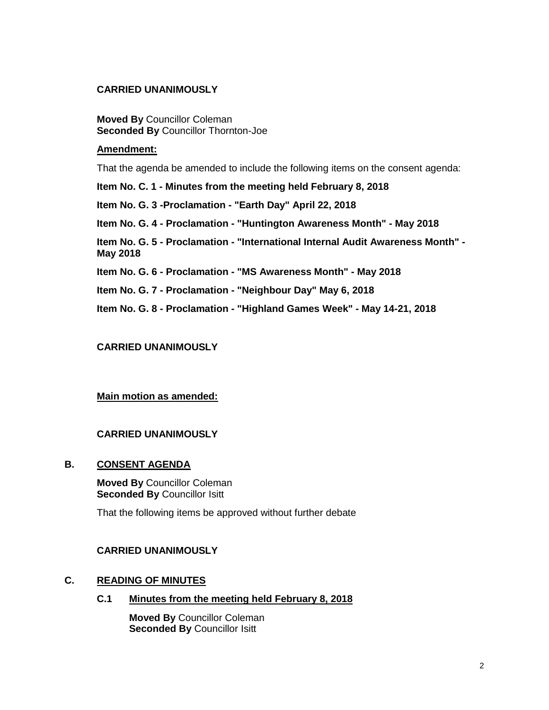### **CARRIED UNANIMOUSLY**

**Moved By** Councillor Coleman **Seconded By** Councillor Thornton-Joe

#### **Amendment:**

That the agenda be amended to include the following items on the consent agenda:

**Item No. C. 1 - Minutes from the meeting held February 8, 2018**

**Item No. G. 3 -Proclamation - "Earth Day" April 22, 2018**

**Item No. G. 4 - Proclamation - "Huntington Awareness Month" - May 2018**

**Item No. G. 5 - Proclamation - "International Internal Audit Awareness Month" - May 2018**

**Item No. G. 6 - Proclamation - "MS Awareness Month" - May 2018**

**Item No. G. 7 - Proclamation - "Neighbour Day" May 6, 2018**

**Item No. G. 8 - Proclamation - "Highland Games Week" - May 14-21, 2018**

### **CARRIED UNANIMOUSLY**

#### **Main motion as amended:**

### **CARRIED UNANIMOUSLY**

#### **B. CONSENT AGENDA**

**Moved By** Councillor Coleman **Seconded By** Councillor Isitt

That the following items be approved without further debate

#### **CARRIED UNANIMOUSLY**

#### **C. READING OF MINUTES**

**C.1 Minutes from the meeting held February 8, 2018**

**Moved By** Councillor Coleman **Seconded By Councillor Isitt**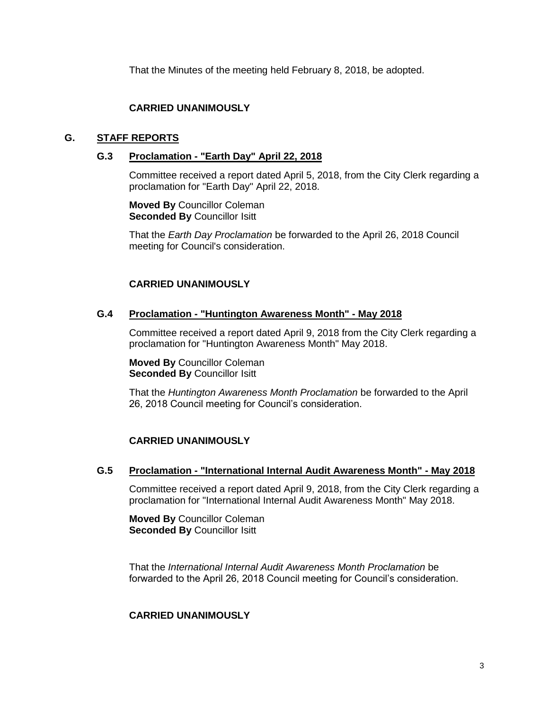That the Minutes of the meeting held February 8, 2018, be adopted.

# **CARRIED UNANIMOUSLY**

# **G. STAFF REPORTS**

### **G.3 Proclamation - "Earth Day" April 22, 2018**

Committee received a report dated April 5, 2018, from the City Clerk regarding a proclamation for "Earth Day" April 22, 2018.

**Moved By** Councillor Coleman **Seconded By** Councillor Isitt

That the *Earth Day Proclamation* be forwarded to the April 26, 2018 Council meeting for Council's consideration.

### **CARRIED UNANIMOUSLY**

#### **G.4 Proclamation - "Huntington Awareness Month" - May 2018**

Committee received a report dated April 9, 2018 from the City Clerk regarding a proclamation for "Huntington Awareness Month" May 2018.

**Moved By** Councillor Coleman **Seconded By** Councillor Isitt

That the *Huntington Awareness Month Proclamation* be forwarded to the April 26, 2018 Council meeting for Council's consideration.

# **CARRIED UNANIMOUSLY**

### **G.5 Proclamation - "International Internal Audit Awareness Month" - May 2018**

Committee received a report dated April 9, 2018, from the City Clerk regarding a proclamation for "International Internal Audit Awareness Month" May 2018.

**Moved By** Councillor Coleman **Seconded By** Councillor Isitt

That the *International Internal Audit Awareness Month Proclamation* be forwarded to the April 26, 2018 Council meeting for Council's consideration.

# **CARRIED UNANIMOUSLY**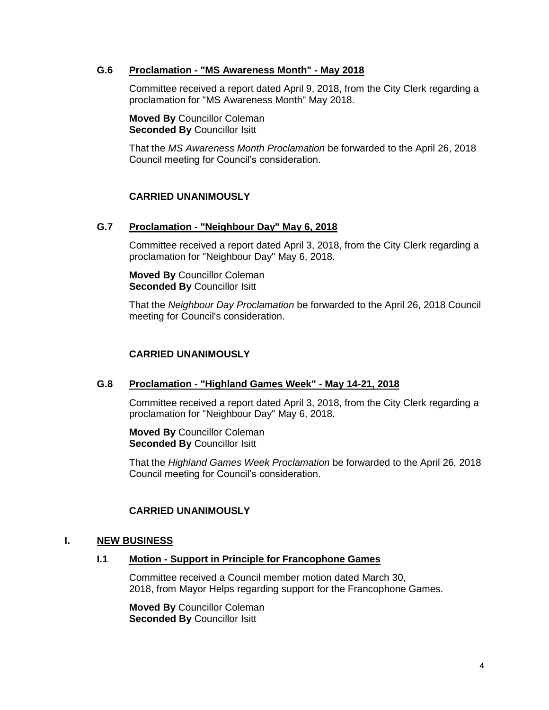### **G.6 Proclamation - "MS Awareness Month" - May 2018**

Committee received a report dated April 9, 2018, from the City Clerk regarding a proclamation for "MS Awareness Month" May 2018.

**Moved By** Councillor Coleman **Seconded By** Councillor Isitt

That the *MS Awareness Month Proclamation* be forwarded to the April 26, 2018 Council meeting for Council's consideration.

### **CARRIED UNANIMOUSLY**

#### **G.7 Proclamation - "Neighbour Day" May 6, 2018**

Committee received a report dated April 3, 2018, from the City Clerk regarding a proclamation for "Neighbour Day" May 6, 2018.

**Moved By** Councillor Coleman **Seconded By** Councillor Isitt

That the *Neighbour Day Proclamation* be forwarded to the April 26, 2018 Council meeting for Council's consideration.

### **CARRIED UNANIMOUSLY**

#### **G.8 Proclamation - "Highland Games Week" - May 14-21, 2018**

Committee received a report dated April 3, 2018, from the City Clerk regarding a proclamation for "Neighbour Day" May 6, 2018.

**Moved By** Councillor Coleman **Seconded By** Councillor Isitt

That the *Highland Games Week Proclamation* be forwarded to the April 26, 2018 Council meeting for Council's consideration.

### **CARRIED UNANIMOUSLY**

#### **I. NEW BUSINESS**

#### **I.1 Motion - Support in Principle for Francophone Games**

Committee received a Council member motion dated March 30, 2018, from Mayor Helps regarding support for the Francophone Games.

**Moved By** Councillor Coleman **Seconded By** Councillor Isitt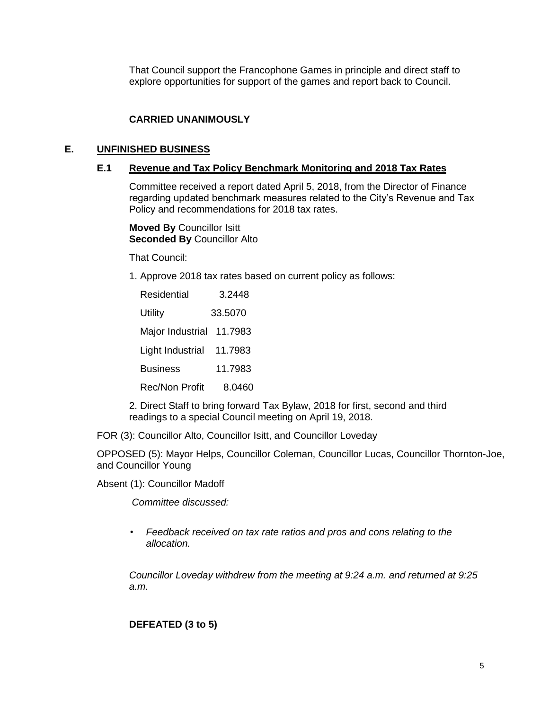That Council support the Francophone Games in principle and direct staff to explore opportunities for support of the games and report back to Council.

# **CARRIED UNANIMOUSLY**

### **E. UNFINISHED BUSINESS**

### **E.1 Revenue and Tax Policy Benchmark Monitoring and 2018 Tax Rates**

Committee received a report dated April 5, 2018, from the Director of Finance regarding updated benchmark measures related to the City's Revenue and Tax Policy and recommendations for 2018 tax rates.

**Moved By** Councillor Isitt **Seconded By** Councillor Alto

That Council:

1. Approve 2018 tax rates based on current policy as follows:

| Residential      | 3.2448  |
|------------------|---------|
| Utility          | 33.5070 |
| Major Industrial | 11.7983 |
| Light Industrial | 11.7983 |
| <b>Business</b>  | 11.7983 |
| Rec/Non Profit   | 8.0460  |

2. Direct Staff to bring forward Tax Bylaw, 2018 for first, second and third readings to a special Council meeting on April 19, 2018.

FOR (3): Councillor Alto, Councillor Isitt, and Councillor Loveday

OPPOSED (5): Mayor Helps, Councillor Coleman, Councillor Lucas, Councillor Thornton-Joe, and Councillor Young

Absent (1): Councillor Madoff

*Committee discussed:* 

• *Feedback received on tax rate ratios and pros and cons relating to the allocation.*

*Councillor Loveday withdrew from the meeting at 9:24 a.m. and returned at 9:25 a.m.* 

**DEFEATED (3 to 5)**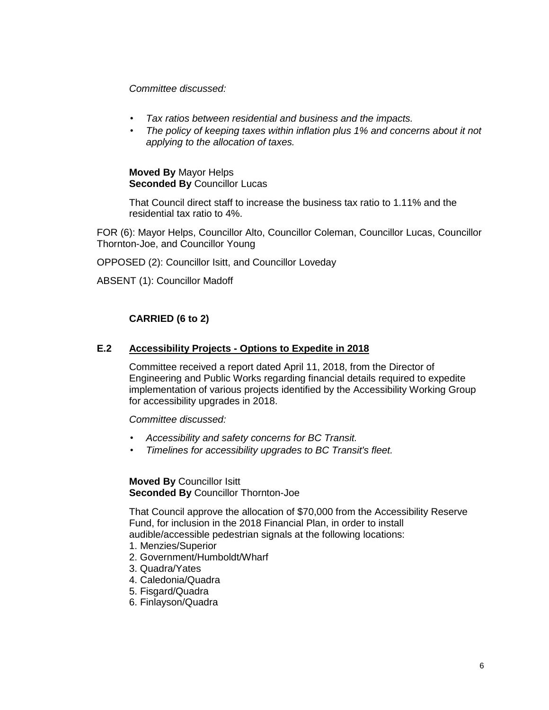*Committee discussed:* 

- *Tax ratios between residential and business and the impacts.*
- *The policy of keeping taxes within inflation plus 1% and concerns about it not applying to the allocation of taxes.*

**Moved By** Mayor Helps **Seconded By** Councillor Lucas

That Council direct staff to increase the business tax ratio to 1.11% and the residential tax ratio to 4%.

FOR (6): Mayor Helps, Councillor Alto, Councillor Coleman, Councillor Lucas, Councillor Thornton-Joe, and Councillor Young

OPPOSED (2): Councillor Isitt, and Councillor Loveday

ABSENT (1): Councillor Madoff

# **CARRIED (6 to 2)**

### **E.2 Accessibility Projects - Options to Expedite in 2018**

Committee received a report dated April 11, 2018, from the Director of Engineering and Public Works regarding financial details required to expedite implementation of various projects identified by the Accessibility Working Group for accessibility upgrades in 2018.

*Committee discussed:*

- *Accessibility and safety concerns for BC Transit.*
- *Timelines for accessibility upgrades to BC Transit's fleet.*

**Moved By** Councillor Isitt **Seconded By** Councillor Thornton-Joe

That Council approve the allocation of \$70,000 from the Accessibility Reserve Fund, for inclusion in the 2018 Financial Plan, in order to install audible/accessible pedestrian signals at the following locations:

- 1. Menzies/Superior
- 2. Government/Humboldt/Wharf
- 3. Quadra/Yates
- 4. Caledonia/Quadra
- 5. Fisgard/Quadra
- 6. Finlayson/Quadra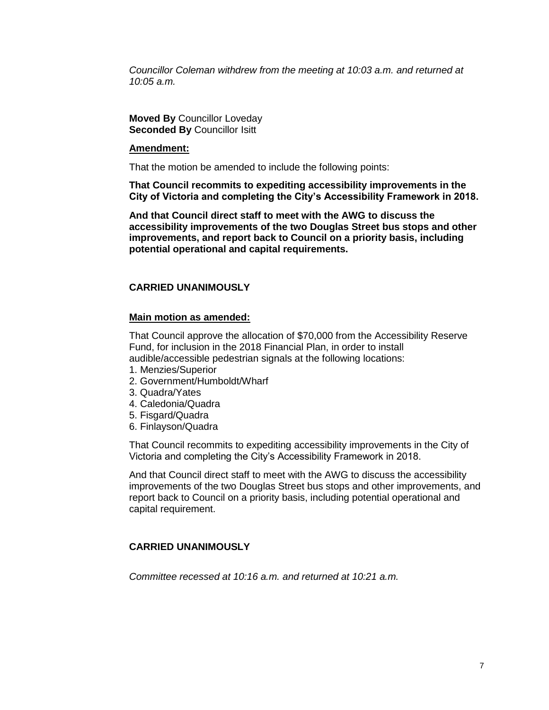*Councillor Coleman withdrew from the meeting at 10:03 a.m. and returned at 10:05 a.m.*

**Moved By** Councillor Loveday **Seconded By** Councillor Isitt

#### **Amendment:**

That the motion be amended to include the following points:

**That Council recommits to expediting accessibility improvements in the City of Victoria and completing the City's Accessibility Framework in 2018.**

**And that Council direct staff to meet with the AWG to discuss the accessibility improvements of the two Douglas Street bus stops and other improvements, and report back to Council on a priority basis, including potential operational and capital requirements.**

# **CARRIED UNANIMOUSLY**

#### **Main motion as amended:**

That Council approve the allocation of \$70,000 from the Accessibility Reserve Fund, for inclusion in the 2018 Financial Plan, in order to install audible/accessible pedestrian signals at the following locations:

- 1. Menzies/Superior
- 2. Government/Humboldt/Wharf
- 3. Quadra/Yates
- 4. Caledonia/Quadra
- 5. Fisgard/Quadra
- 6. Finlayson/Quadra

That Council recommits to expediting accessibility improvements in the City of Victoria and completing the City's Accessibility Framework in 2018.

And that Council direct staff to meet with the AWG to discuss the accessibility improvements of the two Douglas Street bus stops and other improvements, and report back to Council on a priority basis, including potential operational and capital requirement.

#### **CARRIED UNANIMOUSLY**

*Committee recessed at 10:16 a.m. and returned at 10:21 a.m.*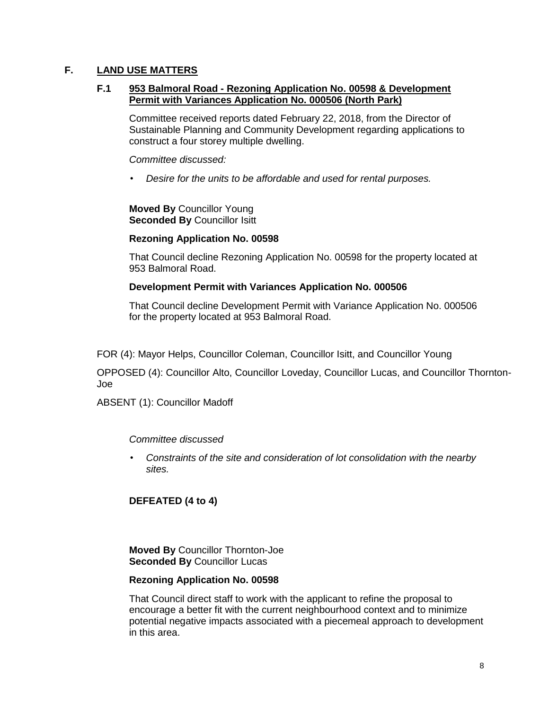# **F. LAND USE MATTERS**

### **F.1 953 Balmoral Road - Rezoning Application No. 00598 & Development Permit with Variances Application No. 000506 (North Park)**

Committee received reports dated February 22, 2018, from the Director of Sustainable Planning and Community Development regarding applications to construct a four storey multiple dwelling.

*Committee discussed:*

• *Desire for the units to be affordable and used for rental purposes.*

**Moved By** Councillor Young **Seconded By** Councillor Isitt

### **Rezoning Application No. 00598**

That Council decline Rezoning Application No. 00598 for the property located at 953 Balmoral Road.

### **Development Permit with Variances Application No. 000506**

That Council decline Development Permit with Variance Application No. 000506 for the property located at 953 Balmoral Road.

FOR (4): Mayor Helps, Councillor Coleman, Councillor Isitt, and Councillor Young

OPPOSED (4): Councillor Alto, Councillor Loveday, Councillor Lucas, and Councillor Thornton-Joe

ABSENT (1): Councillor Madoff

#### *Committee discussed*

• *Constraints of the site and consideration of lot consolidation with the nearby sites.*

# **DEFEATED (4 to 4)**

**Moved By** Councillor Thornton-Joe **Seconded By** Councillor Lucas

#### **Rezoning Application No. 00598**

That Council direct staff to work with the applicant to refine the proposal to encourage a better fit with the current neighbourhood context and to minimize potential negative impacts associated with a piecemeal approach to development in this area.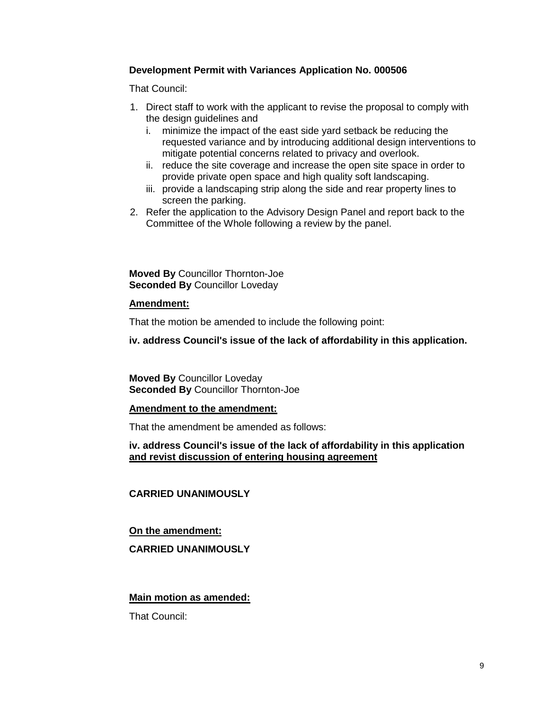### **Development Permit with Variances Application No. 000506**

That Council:

- 1. Direct staff to work with the applicant to revise the proposal to comply with the design guidelines and
	- i. minimize the impact of the east side yard setback be reducing the requested variance and by introducing additional design interventions to mitigate potential concerns related to privacy and overlook.
	- ii. reduce the site coverage and increase the open site space in order to provide private open space and high quality soft landscaping.
	- iii. provide a landscaping strip along the side and rear property lines to screen the parking.
- 2. Refer the application to the Advisory Design Panel and report back to the Committee of the Whole following a review by the panel.

**Moved By** Councillor Thornton-Joe **Seconded By** Councillor Loveday

### **Amendment:**

That the motion be amended to include the following point:

**iv. address Council's issue of the lack of affordability in this application.**

**Moved By** Councillor Loveday **Seconded By** Councillor Thornton-Joe

#### **Amendment to the amendment:**

That the amendment be amended as follows:

### **iv. address Council's issue of the lack of affordability in this application and revist discussion of entering housing agreement**

# **CARRIED UNANIMOUSLY**

# **On the amendment:**

# **CARRIED UNANIMOUSLY**

# **Main motion as amended:**

That Council: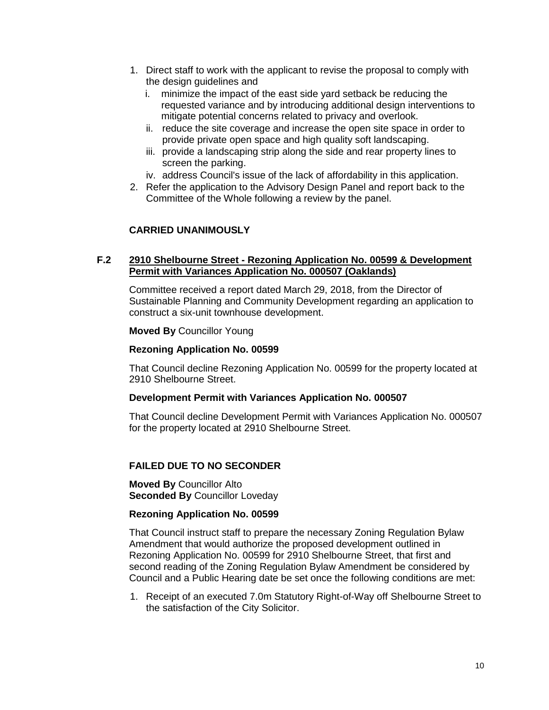- 1. Direct staff to work with the applicant to revise the proposal to comply with the design guidelines and
	- i. minimize the impact of the east side yard setback be reducing the requested variance and by introducing additional design interventions to mitigate potential concerns related to privacy and overlook.
	- ii. reduce the site coverage and increase the open site space in order to provide private open space and high quality soft landscaping.
	- iii. provide a landscaping strip along the side and rear property lines to screen the parking.
	- iv. address Council's issue of the lack of affordability in this application.
- 2. Refer the application to the Advisory Design Panel and report back to the Committee of the Whole following a review by the panel.

# **CARRIED UNANIMOUSLY**

### **F.2 2910 Shelbourne Street - Rezoning Application No. 00599 & Development Permit with Variances Application No. 000507 (Oaklands)**

Committee received a report dated March 29, 2018, from the Director of Sustainable Planning and Community Development regarding an application to construct a six-unit townhouse development.

**Moved By** Councillor Young

#### **Rezoning Application No. 00599**

That Council decline Rezoning Application No. 00599 for the property located at 2910 Shelbourne Street.

#### **Development Permit with Variances Application No. 000507**

That Council decline Development Permit with Variances Application No. 000507 for the property located at 2910 Shelbourne Street.

#### **FAILED DUE TO NO SECONDER**

**Moved By** Councillor Alto **Seconded By** Councillor Loveday

#### **Rezoning Application No. 00599**

That Council instruct staff to prepare the necessary Zoning Regulation Bylaw Amendment that would authorize the proposed development outlined in Rezoning Application No. 00599 for 2910 Shelbourne Street, that first and second reading of the Zoning Regulation Bylaw Amendment be considered by Council and a Public Hearing date be set once the following conditions are met:

1. Receipt of an executed 7.0m Statutory Right-of-Way off Shelbourne Street to the satisfaction of the City Solicitor.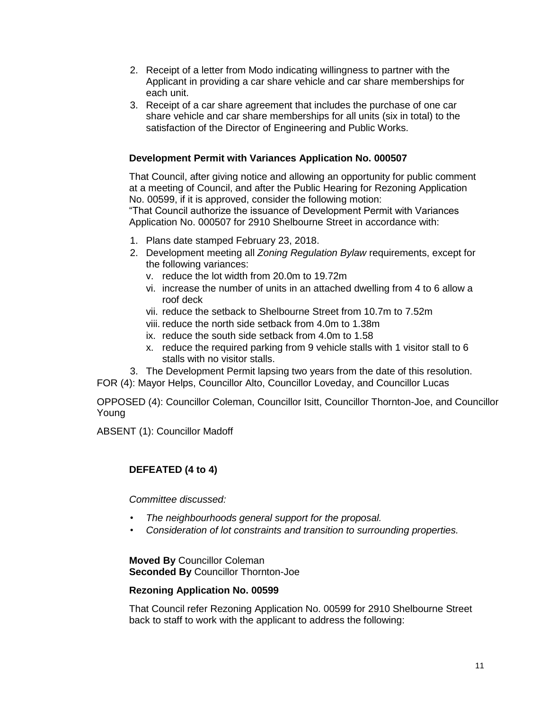- 2. Receipt of a letter from Modo indicating willingness to partner with the Applicant in providing a car share vehicle and car share memberships for each unit.
- 3. Receipt of a car share agreement that includes the purchase of one car share vehicle and car share memberships for all units (six in total) to the satisfaction of the Director of Engineering and Public Works.

# **Development Permit with Variances Application No. 000507**

That Council, after giving notice and allowing an opportunity for public comment at a meeting of Council, and after the Public Hearing for Rezoning Application No. 00599, if it is approved, consider the following motion:

"That Council authorize the issuance of Development Permit with Variances Application No. 000507 for 2910 Shelbourne Street in accordance with:

- 1. Plans date stamped February 23, 2018.
- 2. Development meeting all *Zoning Regulation Bylaw* requirements, except for the following variances:
	- v. reduce the lot width from 20.0m to 19.72m
	- vi. increase the number of units in an attached dwelling from 4 to 6 allow a roof deck
	- vii. reduce the setback to Shelbourne Street from 10.7m to 7.52m
	- viii. reduce the north side setback from 4.0m to 1.38m
	- ix. reduce the south side setback from 4.0m to 1.58
	- x. reduce the required parking from 9 vehicle stalls with 1 visitor stall to 6 stalls with no visitor stalls.
- 3. The Development Permit lapsing two years from the date of this resolution.

FOR (4): Mayor Helps, Councillor Alto, Councillor Loveday, and Councillor Lucas

OPPOSED (4): Councillor Coleman, Councillor Isitt, Councillor Thornton-Joe, and Councillor Young

ABSENT (1): Councillor Madoff

# **DEFEATED (4 to 4)**

*Committee discussed:*

- *The neighbourhoods general support for the proposal.*
- *Consideration of lot constraints and transition to surrounding properties.*

**Moved By** Councillor Coleman **Seconded By** Councillor Thornton-Joe

# **Rezoning Application No. 00599**

That Council refer Rezoning Application No. 00599 for 2910 Shelbourne Street back to staff to work with the applicant to address the following: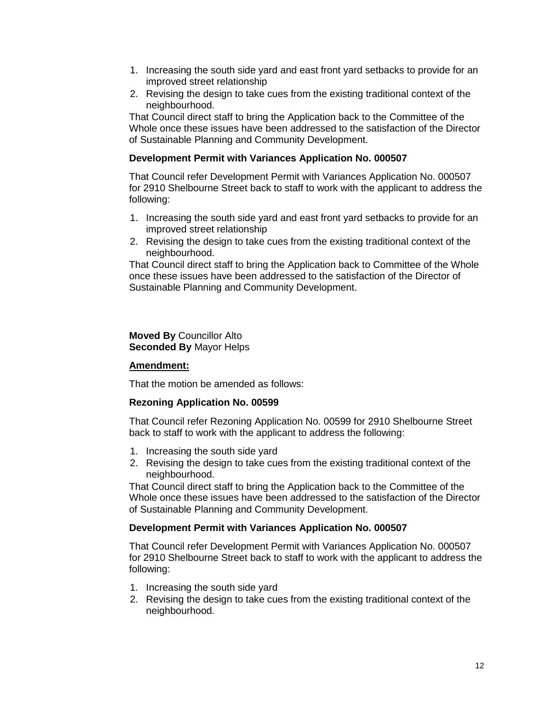- 1. Increasing the south side yard and east front yard setbacks to provide for an improved street relationship
- 2. Revising the design to take cues from the existing traditional context of the neighbourhood.

That Council direct staff to bring the Application back to the Committee of the Whole once these issues have been addressed to the satisfaction of the Director of Sustainable Planning and Community Development.

# **Development Permit with Variances Application No. 000507**

That Council refer Development Permit with Variances Application No. 000507 for 2910 Shelbourne Street back to staff to work with the applicant to address the following:

- 1. Increasing the south side yard and east front yard setbacks to provide for an improved street relationship
- 2. Revising the design to take cues from the existing traditional context of the neighbourhood.

That Council direct staff to bring the Application back to Committee of the Whole once these issues have been addressed to the satisfaction of the Director of Sustainable Planning and Community Development.

**Moved By** Councillor Alto **Seconded By** Mayor Helps

#### **Amendment:**

That the motion be amended as follows:

# **Rezoning Application No. 00599**

That Council refer Rezoning Application No. 00599 for 2910 Shelbourne Street back to staff to work with the applicant to address the following:

- 1. Increasing the south side yard
- 2. Revising the design to take cues from the existing traditional context of the neighbourhood.

That Council direct staff to bring the Application back to the Committee of the Whole once these issues have been addressed to the satisfaction of the Director of Sustainable Planning and Community Development.

#### **Development Permit with Variances Application No. 000507**

That Council refer Development Permit with Variances Application No. 000507 for 2910 Shelbourne Street back to staff to work with the applicant to address the following:

- 1. Increasing the south side yard
- 2. Revising the design to take cues from the existing traditional context of the neighbourhood.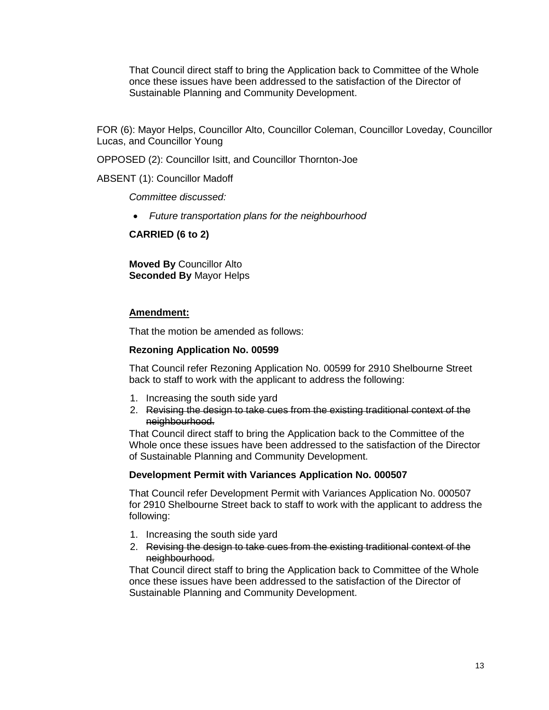That Council direct staff to bring the Application back to Committee of the Whole once these issues have been addressed to the satisfaction of the Director of Sustainable Planning and Community Development.

FOR (6): Mayor Helps, Councillor Alto, Councillor Coleman, Councillor Loveday, Councillor Lucas, and Councillor Young

OPPOSED (2): Councillor Isitt, and Councillor Thornton-Joe

ABSENT (1): Councillor Madoff

*Committee discussed:*

*Future transportation plans for the neighbourhood*

**CARRIED (6 to 2)**

**Moved By** Councillor Alto **Seconded By** Mayor Helps

### **Amendment:**

That the motion be amended as follows:

### **Rezoning Application No. 00599**

That Council refer Rezoning Application No. 00599 for 2910 Shelbourne Street back to staff to work with the applicant to address the following:

- 1. Increasing the south side yard
- 2. Revising the design to take cues from the existing traditional context of the neighbourhood.

That Council direct staff to bring the Application back to the Committee of the Whole once these issues have been addressed to the satisfaction of the Director of Sustainable Planning and Community Development.

#### **Development Permit with Variances Application No. 000507**

That Council refer Development Permit with Variances Application No. 000507 for 2910 Shelbourne Street back to staff to work with the applicant to address the following:

- 1. Increasing the south side yard
- 2. Revising the design to take cues from the existing traditional context of the neighbourhood.

That Council direct staff to bring the Application back to Committee of the Whole once these issues have been addressed to the satisfaction of the Director of Sustainable Planning and Community Development.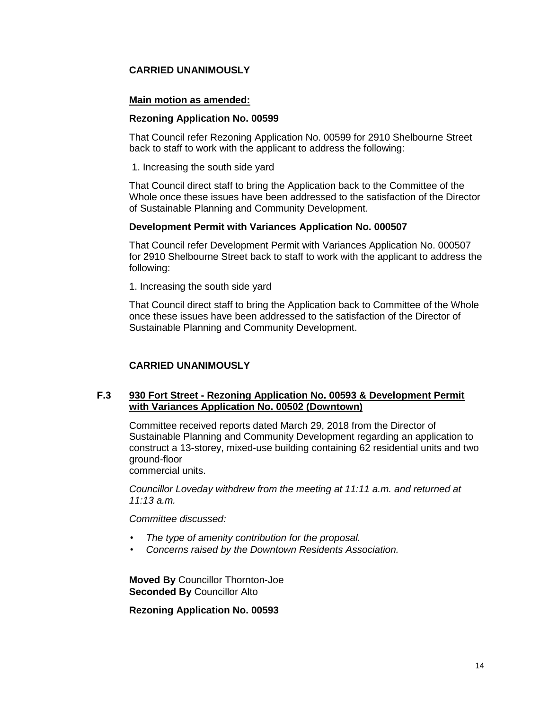# **CARRIED UNANIMOUSLY**

### **Main motion as amended:**

#### **Rezoning Application No. 00599**

That Council refer Rezoning Application No. 00599 for 2910 Shelbourne Street back to staff to work with the applicant to address the following:

1. Increasing the south side yard

That Council direct staff to bring the Application back to the Committee of the Whole once these issues have been addressed to the satisfaction of the Director of Sustainable Planning and Community Development.

#### **Development Permit with Variances Application No. 000507**

That Council refer Development Permit with Variances Application No. 000507 for 2910 Shelbourne Street back to staff to work with the applicant to address the following:

1. Increasing the south side yard

That Council direct staff to bring the Application back to Committee of the Whole once these issues have been addressed to the satisfaction of the Director of Sustainable Planning and Community Development.

# **CARRIED UNANIMOUSLY**

### **F.3 930 Fort Street - Rezoning Application No. 00593 & Development Permit with Variances Application No. 00502 (Downtown)**

Committee received reports dated March 29, 2018 from the Director of Sustainable Planning and Community Development regarding an application to construct a 13-storey, mixed-use building containing 62 residential units and two ground-floor

commercial units.

*Councillor Loveday withdrew from the meeting at 11:11 a.m. and returned at 11:13 a.m.* 

### *Committee discussed:*

- *The type of amenity contribution for the proposal.*
- *Concerns raised by the Downtown Residents Association.*

**Moved By** Councillor Thornton-Joe **Seconded By** Councillor Alto

**Rezoning Application No. 00593**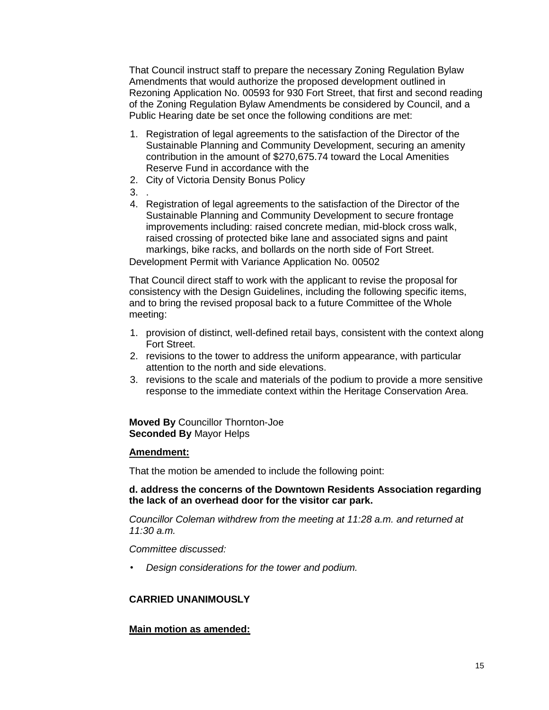That Council instruct staff to prepare the necessary Zoning Regulation Bylaw Amendments that would authorize the proposed development outlined in Rezoning Application No. 00593 for 930 Fort Street, that first and second reading of the Zoning Regulation Bylaw Amendments be considered by Council, and a Public Hearing date be set once the following conditions are met:

- 1. Registration of legal agreements to the satisfaction of the Director of the Sustainable Planning and Community Development, securing an amenity contribution in the amount of \$270,675.74 toward the Local Amenities Reserve Fund in accordance with the
- 2. City of Victoria Density Bonus Policy
- 3. .
- 4. Registration of legal agreements to the satisfaction of the Director of the Sustainable Planning and Community Development to secure frontage improvements including: raised concrete median, mid-block cross walk, raised crossing of protected bike lane and associated signs and paint markings, bike racks, and bollards on the north side of Fort Street. Development Permit with Variance Application No. 00502

That Council direct staff to work with the applicant to revise the proposal for consistency with the Design Guidelines, including the following specific items, and to bring the revised proposal back to a future Committee of the Whole meeting:

- 1. provision of distinct, well-defined retail bays, consistent with the context along Fort Street.
- 2. revisions to the tower to address the uniform appearance, with particular attention to the north and side elevations.
- 3. revisions to the scale and materials of the podium to provide a more sensitive response to the immediate context within the Heritage Conservation Area.

**Moved By** Councillor Thornton-Joe **Seconded By** Mayor Helps

# **Amendment:**

That the motion be amended to include the following point:

### **d. address the concerns of the Downtown Residents Association regarding the lack of an overhead door for the visitor car park.**

*Councillor Coleman withdrew from the meeting at 11:28 a.m. and returned at 11:30 a.m.*

#### *Committee discussed:*

• *Design considerations for the tower and podium.*

# **CARRIED UNANIMOUSLY**

#### **Main motion as amended:**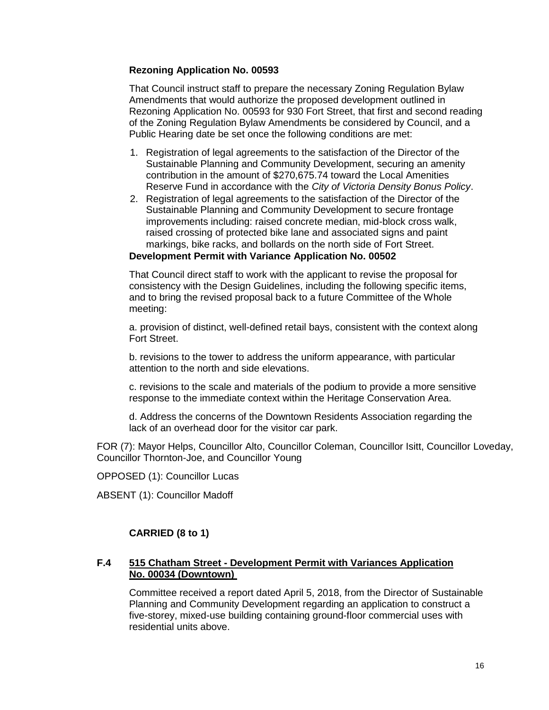# **Rezoning Application No. 00593**

That Council instruct staff to prepare the necessary Zoning Regulation Bylaw Amendments that would authorize the proposed development outlined in Rezoning Application No. 00593 for 930 Fort Street, that first and second reading of the Zoning Regulation Bylaw Amendments be considered by Council, and a Public Hearing date be set once the following conditions are met:

- 1. Registration of legal agreements to the satisfaction of the Director of the Sustainable Planning and Community Development, securing an amenity contribution in the amount of \$270,675.74 toward the Local Amenities Reserve Fund in accordance with the *City of Victoria Density Bonus Policy*.
- 2. Registration of legal agreements to the satisfaction of the Director of the Sustainable Planning and Community Development to secure frontage improvements including: raised concrete median, mid-block cross walk, raised crossing of protected bike lane and associated signs and paint markings, bike racks, and bollards on the north side of Fort Street.

### **Development Permit with Variance Application No. 00502**

That Council direct staff to work with the applicant to revise the proposal for consistency with the Design Guidelines, including the following specific items, and to bring the revised proposal back to a future Committee of the Whole meeting:

a. provision of distinct, well-defined retail bays, consistent with the context along Fort Street.

b. revisions to the tower to address the uniform appearance, with particular attention to the north and side elevations.

c. revisions to the scale and materials of the podium to provide a more sensitive response to the immediate context within the Heritage Conservation Area.

d. Address the concerns of the Downtown Residents Association regarding the lack of an overhead door for the visitor car park.

FOR (7): Mayor Helps, Councillor Alto, Councillor Coleman, Councillor Isitt, Councillor Loveday, Councillor Thornton-Joe, and Councillor Young

OPPOSED (1): Councillor Lucas

ABSENT (1): Councillor Madoff

# **CARRIED (8 to 1)**

### **F.4 515 Chatham Street - Development Permit with Variances Application No. 00034 (Downtown)**

Committee received a report dated April 5, 2018, from the Director of Sustainable Planning and Community Development regarding an application to construct a five-storey, mixed-use building containing ground-floor commercial uses with residential units above.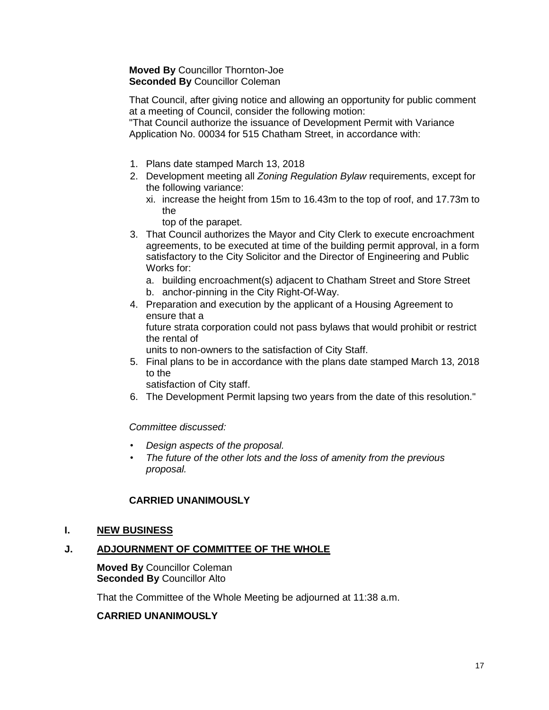# **Moved By** Councillor Thornton-Joe **Seconded By** Councillor Coleman

That Council, after giving notice and allowing an opportunity for public comment at a meeting of Council, consider the following motion:

"That Council authorize the issuance of Development Permit with Variance Application No. 00034 for 515 Chatham Street, in accordance with:

- 1. Plans date stamped March 13, 2018
- 2. Development meeting all *Zoning Regulation Bylaw* requirements, except for the following variance:
	- xi. increase the height from 15m to 16.43m to the top of roof, and 17.73m to the
		- top of the parapet.
- 3. That Council authorizes the Mayor and City Clerk to execute encroachment agreements, to be executed at time of the building permit approval, in a form satisfactory to the City Solicitor and the Director of Engineering and Public Works for:
	- a. building encroachment(s) adjacent to Chatham Street and Store Street
	- b. anchor-pinning in the City Right-Of-Way.
- 4. Preparation and execution by the applicant of a Housing Agreement to ensure that a future strata corporation could not pass bylaws that would prohibit or restrict the rental of

units to non-owners to the satisfaction of City Staff.

5. Final plans to be in accordance with the plans date stamped March 13, 2018 to the

satisfaction of City staff.

6. The Development Permit lapsing two years from the date of this resolution."

*Committee discussed:*

- *Design aspects of the proposal.*
- *The future of the other lots and the loss of amenity from the previous proposal.*

# **CARRIED UNANIMOUSLY**

# **I. NEW BUSINESS**

# **J. ADJOURNMENT OF COMMITTEE OF THE WHOLE**

**Moved By** Councillor Coleman **Seconded By** Councillor Alto

That the Committee of the Whole Meeting be adjourned at 11:38 a.m.

# **CARRIED UNANIMOUSLY**